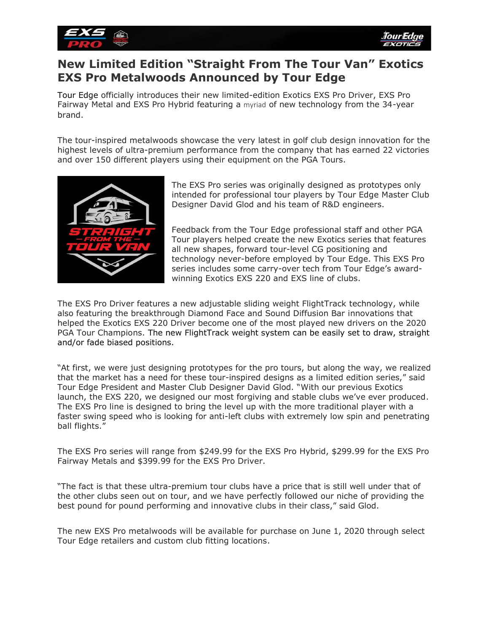

# **New Limited Edition "Straight From The Tour Van" Exotics EXS Pro Metalwoods Announced by Tour Edge**

Tour Edge officially introduces their new limited-edition Exotics EXS Pro Driver, EXS Pro Fairway Metal and EXS Pro Hybrid featuring a myriad of new technology from the 34-year brand.

The tour-inspired metalwoods showcase the very latest in golf club design innovation for the highest levels of ultra-premium performance from the company that has earned 22 victories and over 150 different players using their equipment on the PGA Tours.



The EXS Pro series was originally designed as prototypes only intended for professional tour players by Tour Edge Master Club Designer David Glod and his team of R&D engineers.

Feedback from the Tour Edge professional staff and other PGA Tour players helped create the new Exotics series that features all new shapes, forward tour-level CG positioning and technology never-before employed by Tour Edge. This EXS Pro series includes some carry-over tech from Tour Edge's awardwinning Exotics EXS 220 and EXS line of clubs.

The EXS Pro Driver features a new adjustable sliding weight FlightTrack technology, while also featuring the breakthrough Diamond Face and Sound Diffusion Bar innovations that helped the Exotics EXS 220 Driver become one of the most played new drivers on the 2020 PGA Tour Champions. The new FlightTrack weight system can be easily set to draw, straight and/or fade biased positions.

"At first, we were just designing prototypes for the pro tours, but along the way, we realized that the market has a need for these tour-inspired designs as a limited edition series," said Tour Edge President and Master Club Designer David Glod. "With our previous Exotics launch, the EXS 220, we designed our most forgiving and stable clubs we've ever produced. The EXS Pro line is designed to bring the level up with the more traditional player with a faster swing speed who is looking for anti-left clubs with extremely low spin and penetrating ball flights."

The EXS Pro series will range from \$249.99 for the EXS Pro Hybrid, \$299.99 for the EXS Pro Fairway Metals and \$399.99 for the EXS Pro Driver.

"The fact is that these ultra-premium tour clubs have a price that is still well under that of the other clubs seen out on tour, and we have perfectly followed our niche of providing the best pound for pound performing and innovative clubs in their class," said Glod.

The new EXS Pro metalwoods will be available for purchase on June 1, 2020 through select Tour Edge retailers and custom club fitting locations.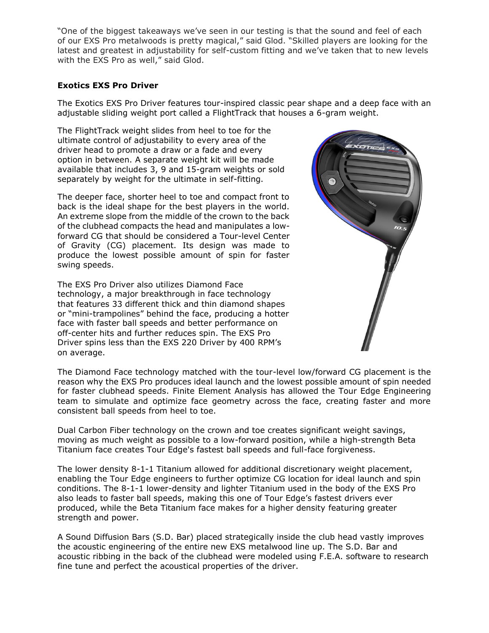"One of the biggest takeaways we've seen in our testing is that the sound and feel of each of our EXS Pro metalwoods is pretty magical," said Glod. "Skilled players are looking for the latest and greatest in adjustability for self-custom fitting and we've taken that to new levels with the EXS Pro as well," said Glod.

# **Exotics EXS Pro Driver**

The Exotics EXS Pro Driver features tour-inspired classic pear shape and a deep face with an adjustable sliding weight port called a FlightTrack that houses a 6-gram weight.

The FlightTrack weight slides from heel to toe for the ultimate control of adjustability to every area of the driver head to promote a draw or a fade and every option in between. A separate weight kit will be made available that includes 3, 9 and 15-gram weights or sold separately by weight for the ultimate in self-fitting.

The deeper face, shorter heel to toe and compact front to back is the ideal shape for the best players in the world. An extreme slope from the middle of the crown to the back of the clubhead compacts the head and manipulates a lowforward CG that should be considered a Tour-level Center of Gravity (CG) placement. Its design was made to produce the lowest possible amount of spin for faster swing speeds.

The EXS Pro Driver also utilizes Diamond Face technology, a major breakthrough in face technology that features 33 different thick and thin diamond shapes or "mini-trampolines" behind the face, producing a hotter face with faster ball speeds and better performance on off-center hits and further reduces spin. The EXS Pro Driver spins less than the EXS 220 Driver by 400 RPM's on average.



The Diamond Face technology matched with the tour-level low/forward CG placement is the reason why the EXS Pro produces ideal launch and the lowest possible amount of spin needed for faster clubhead speeds. Finite Element Analysis has allowed the Tour Edge Engineering team to simulate and optimize face geometry across the face, creating faster and more consistent ball speeds from heel to toe.

Dual Carbon Fiber technology on the crown and toe creates significant weight savings, moving as much weight as possible to a low-forward position, while a high-strength Beta Titanium face creates Tour Edge's fastest ball speeds and full-face forgiveness.

The lower density 8-1-1 Titanium allowed for additional discretionary weight placement, enabling the Tour Edge engineers to further optimize CG location for ideal launch and spin conditions. The 8-1-1 lower-density and lighter Titanium used in the body of the EXS Pro also leads to faster ball speeds, making this one of Tour Edge's fastest drivers ever produced, while the Beta Titanium face makes for a higher density featuring greater strength and power.

A Sound Diffusion Bars (S.D. Bar) placed strategically inside the club head vastly improves the acoustic engineering of the entire new EXS metalwood line up. The S.D. Bar and acoustic ribbing in the back of the clubhead were modeled using F.E.A. software to research fine tune and perfect the acoustical properties of the driver.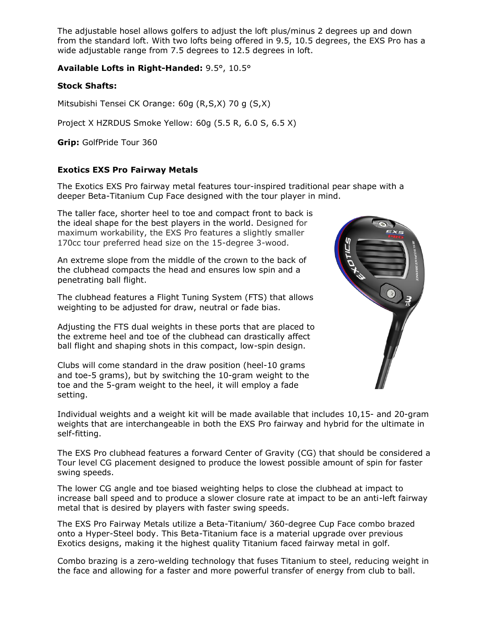The adjustable hosel allows golfers to adjust the loft plus/minus 2 degrees up and down from the standard loft. With two lofts being offered in 9.5, 10.5 degrees, the EXS Pro has a wide adjustable range from 7.5 degrees to 12.5 degrees in loft.

**Available Lofts in Right-Handed:** 9.5°, 10.5°

## **Stock Shafts:**

Mitsubishi Tensei CK Orange: 60g (R,S,X) 70 g (S,X)

Project X HZRDUS Smoke Yellow: 60g (5.5 R, 6.0 S, 6.5 X)

**Grip:** GolfPride Tour 360

## **Exotics EXS Pro Fairway Metals**

The Exotics EXS Pro fairway metal features tour-inspired traditional pear shape with a deeper Beta-Titanium Cup Face designed with the tour player in mind.

The taller face, shorter heel to toe and compact front to back is the ideal shape for the best players in the world. Designed for maximum workability, the EXS Pro features a slightly smaller 170cc tour preferred head size on the 15-degree 3-wood.

An extreme slope from the middle of the crown to the back of the clubhead compacts the head and ensures low spin and a penetrating ball flight.

The clubhead features a Flight Tuning System (FTS) that allows weighting to be adjusted for draw, neutral or fade bias.

Adjusting the FTS dual weights in these ports that are placed to the extreme heel and toe of the clubhead can drastically affect ball flight and shaping shots in this compact, low-spin design.

Clubs will come standard in the draw position (heel-10 grams and toe-5 grams), but by switching the 10-gram weight to the toe and the 5-gram weight to the heel, it will employ a fade setting.



Individual weights and a weight kit will be made available that includes 10,15- and 20-gram weights that are interchangeable in both the EXS Pro fairway and hybrid for the ultimate in self-fitting.

The EXS Pro clubhead features a forward Center of Gravity (CG) that should be considered a Tour level CG placement designed to produce the lowest possible amount of spin for faster swing speeds.

The lower CG angle and toe biased weighting helps to close the clubhead at impact to increase ball speed and to produce a slower closure rate at impact to be an anti-left fairway metal that is desired by players with faster swing speeds.

The EXS Pro Fairway Metals utilize a Beta-Titanium/ 360-degree Cup Face combo brazed onto a Hyper-Steel body. This Beta-Titanium face is a material upgrade over previous Exotics designs, making it the highest quality Titanium faced fairway metal in golf.

Combo brazing is a zero-welding technology that fuses Titanium to steel, reducing weight in the face and allowing for a faster and more powerful transfer of energy from club to ball.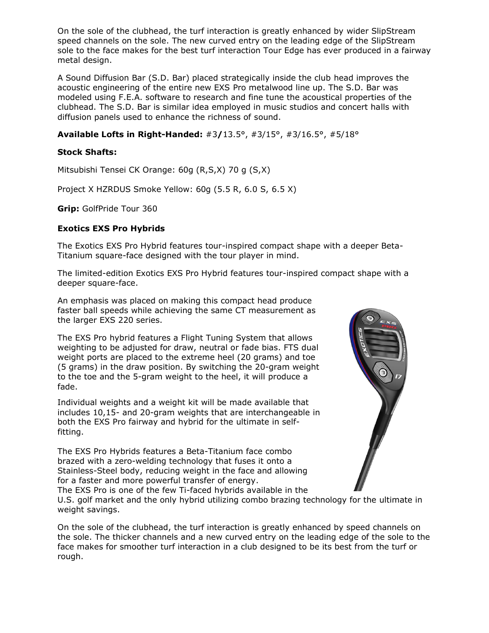On the sole of the clubhead, the turf interaction is greatly enhanced by wider SlipStream speed channels on the sole. The new curved entry on the leading edge of the SlipStream sole to the face makes for the best turf interaction Tour Edge has ever produced in a fairway metal design.

A Sound Diffusion Bar (S.D. Bar) placed strategically inside the club head improves the acoustic engineering of the entire new EXS Pro metalwood line up. The S.D. Bar was modeled using F.E.A. software to research and fine tune the acoustical properties of the clubhead. The S.D. Bar is similar idea employed in music studios and concert halls with diffusion panels used to enhance the richness of sound.

# **Available Lofts in Right-Handed:** #3**/**13.5°, #3/15°, #3/16.5°, #5/18°

### **Stock Shafts:**

Mitsubishi Tensei CK Orange: 60g (R,S,X) 70 g (S,X)

Project X HZRDUS Smoke Yellow: 60g (5.5 R, 6.0 S, 6.5 X)

**Grip:** GolfPride Tour 360

## **Exotics EXS Pro Hybrids**

The Exotics EXS Pro Hybrid features tour-inspired compact shape with a deeper Beta-Titanium square-face designed with the tour player in mind.

The limited-edition Exotics EXS Pro Hybrid features tour-inspired compact shape with a deeper square-face.

An emphasis was placed on making this compact head produce faster ball speeds while achieving the same CT measurement as the larger EXS 220 series.

The EXS Pro hybrid features a Flight Tuning System that allows weighting to be adjusted for draw, neutral or fade bias. FTS dual weight ports are placed to the extreme heel (20 grams) and toe (5 grams) in the draw position. By switching the 20-gram weight to the toe and the 5-gram weight to the heel, it will produce a fade.

Individual weights and a weight kit will be made available that includes 10,15- and 20-gram weights that are interchangeable in both the EXS Pro fairway and hybrid for the ultimate in selffitting.

The EXS Pro Hybrids features a Beta-Titanium face combo brazed with a zero-welding technology that fuses it onto a Stainless-Steel body, reducing weight in the face and allowing for a faster and more powerful transfer of energy.



The EXS Pro is one of the few Ti-faced hybrids available in the U.S. golf market and the only hybrid utilizing combo brazing technology for the ultimate in

weight savings.

On the sole of the clubhead, the turf interaction is greatly enhanced by speed channels on the sole. The thicker channels and a new curved entry on the leading edge of the sole to the face makes for smoother turf interaction in a club designed to be its best from the turf or rough.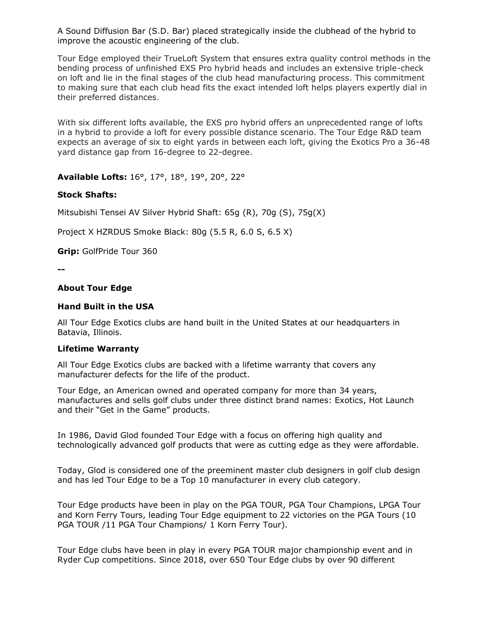A Sound Diffusion Bar (S.D. Bar) placed strategically inside the clubhead of the hybrid to improve the acoustic engineering of the club.

Tour Edge employed their TrueLoft System that ensures extra quality control methods in the bending process of unfinished EXS Pro hybrid heads and includes an extensive triple-check on loft and lie in the final stages of the club head manufacturing process. This commitment to making sure that each club head fits the exact intended loft helps players expertly dial in their preferred distances.

With six different lofts available, the EXS pro hybrid offers an unprecedented range of lofts in a hybrid to provide a loft for every possible distance scenario. The Tour Edge R&D team expects an average of six to eight yards in between each loft, giving the Exotics Pro a 36-48 yard distance gap from 16-degree to 22-degree.

**Available Lofts:** 16°, 17°, 18°, 19°, 20°, 22°

#### **Stock Shafts:**

Mitsubishi Tensei AV Silver Hybrid Shaft: 65g (R), 70g (S), 75g(X)

Project X HZRDUS Smoke Black: 80g (5.5 R, 6.0 S, 6.5 X)

**Grip:** GolfPride Tour 360

**--**

#### **About Tour Edge**

#### **Hand Built in the USA**

All Tour Edge Exotics clubs are hand built in the United States at our headquarters in Batavia, Illinois.

#### **Lifetime Warranty**

All Tour Edge Exotics clubs are backed with a lifetime warranty that covers any manufacturer defects for the life of the product.

Tour Edge, an American owned and operated company for more than 34 years, manufactures and sells golf clubs under three distinct brand names: Exotics, Hot Launch and their "Get in the Game" products.

In 1986, David Glod founded Tour Edge with a focus on offering high quality and technologically advanced golf products that were as cutting edge as they were affordable.

Today, Glod is considered one of the preeminent master club designers in golf club design and has led Tour Edge to be a Top 10 manufacturer in every club category.

Tour Edge products have been in play on the PGA TOUR, PGA Tour Champions, LPGA Tour and Korn Ferry Tours, leading Tour Edge equipment to 22 victories on the PGA Tours (10 PGA TOUR /11 PGA Tour Champions/ 1 Korn Ferry Tour).

Tour Edge clubs have been in play in every PGA TOUR major championship event and in Ryder Cup competitions. Since 2018, over 650 Tour Edge clubs by over 90 different